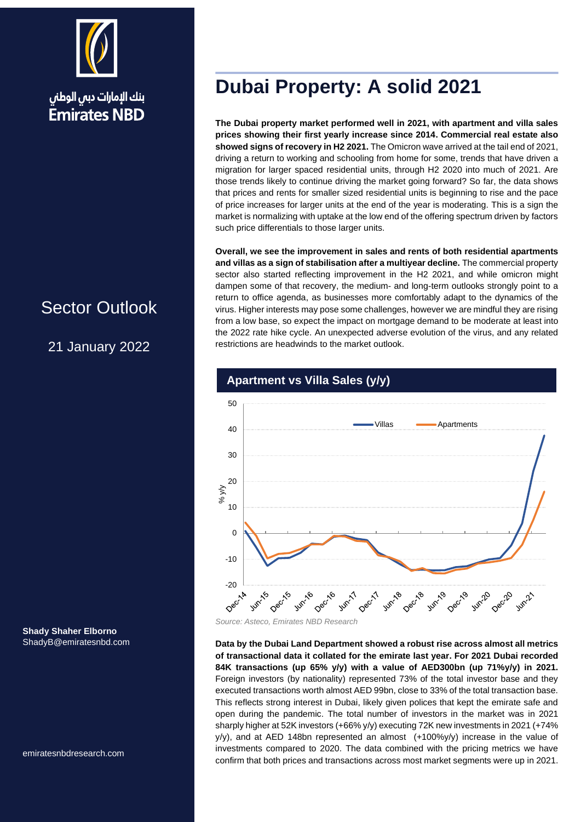

## Sector Outlook

21 January 2022

**Shady Shaher Elborno** ShadyB@emiratesnbd.com

emiratesnbdresearch.com

# **Dubai Property: A solid 2021**

**The Dubai property market performed well in 2021, with apartment and villa sales prices showing their first yearly increase since 2014. Commercial real estate also showed signs of recovery in H2 2021.** The Omicron wave arrived at the tail end of 2021, driving a return to working and schooling from home for some, trends that have driven a migration for larger spaced residential units, through H2 2020 into much of 2021. Are those trends likely to continue driving the market going forward? So far, the data shows that prices and rents for smaller sized residential units is beginning to rise and the pace of price increases for larger units at the end of the year is moderating. This is a sign the market is normalizing with uptake at the low end of the offering spectrum driven by factors such price differentials to those larger units.

**Overall, we see the improvement in sales and rents of both residential apartments and villas as a sign of stabilisation after a multiyear decline.** The commercial property sector also started reflecting improvement in the H2 2021, and while omicron might dampen some of that recovery, the medium- and long-term outlooks strongly point to a return to office agenda, as businesses more comfortably adapt to the dynamics of the virus. Higher interests may pose some challenges, however we are mindful they are rising from a low base, so expect the impact on mortgage demand to be moderate at least into the 2022 rate hike cycle. An unexpected adverse evolution of the virus, and any related restrictions are headwinds to the market outlook.



## **Apartment vs Villa Sales (y/y)**

**Data by the Dubai Land Department showed a robust rise across almost all metrics of transactional data it collated for the emirate last year. For 2021 Dubai recorded 84K transactions (up 65% y/y) with a value of AED300bn (up 71%y/y) in 2021.** Foreign investors (by nationality) represented 73% of the total investor base and they executed transactions worth almost AED 99bn, close to 33% of the total transaction base. This reflects strong interest in Dubai, likely given polices that kept the emirate safe and open during the pandemic. The total number of investors in the market was in 2021 sharply higher at 52K investors (+66% y/y) executing 72K new investments in 2021 (+74%  $y/y$ ), and at AED 148bn represented an almost  $(+100\%y/y)$  increase in the value of investments compared to 2020. The data combined with the pricing metrics we have confirm that both prices and transactions across most market segments were up in 2021.

*Source: Asteco, Emirates NBD Research*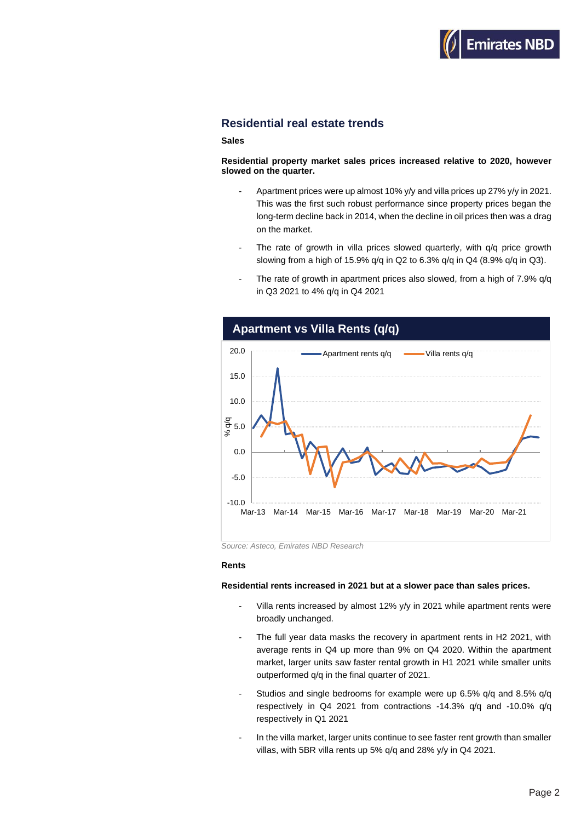

### **Residential real estate trends**

### **Sales**

**Residential property market sales prices increased relative to 2020, however slowed on the quarter.**

- Apartment prices were up almost 10% y/y and villa prices up 27% y/y in 2021. This was the first such robust performance since property prices began the long-term decline back in 2014, when the decline in oil prices then was a drag on the market.
- The rate of growth in villa prices slowed quarterly, with q/q price growth slowing from a high of 15.9% q/q in Q2 to 6.3% q/q in Q4 (8.9% q/q in Q3).
- The rate of growth in apartment prices also slowed, from a high of 7.9% q/q in Q3 2021 to 4% q/q in Q4 2021



*Source: Asteco, Emirates NBD Research*

#### **Rents**

#### **Residential rents increased in 2021 but at a slower pace than sales prices.**

- Villa rents increased by almost 12% y/y in 2021 while apartment rents were broadly unchanged.
- The full year data masks the recovery in apartment rents in H2 2021, with average rents in Q4 up more than 9% on Q4 2020. Within the apartment market, larger units saw faster rental growth in H1 2021 while smaller units outperformed q/q in the final quarter of 2021.
- Studios and single bedrooms for example were up 6.5% q/q and 8.5% q/q respectively in Q4 2021 from contractions -14.3% q/q and -10.0% q/q respectively in Q1 2021
- In the villa market, larger units continue to see faster rent growth than smaller villas, with 5BR villa rents up 5% q/q and 28% y/y in Q4 2021.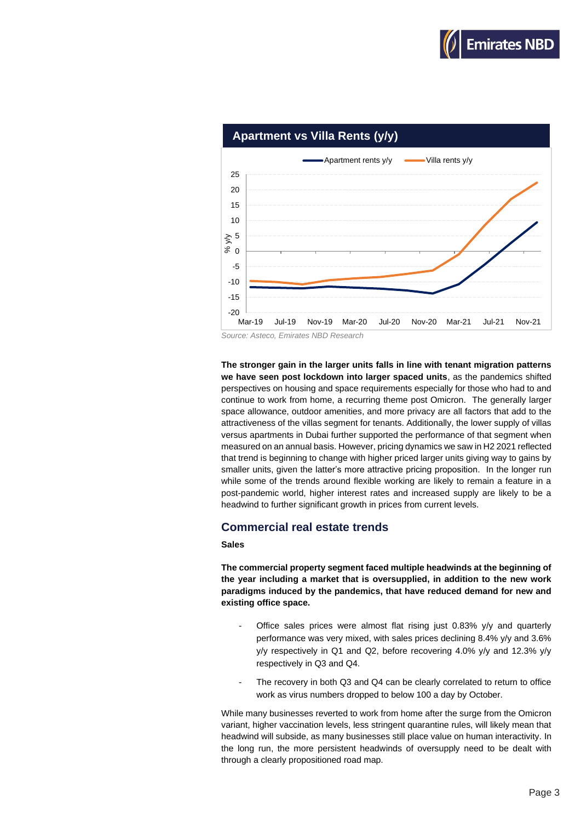



*Source: Asteco, Emirates NBD Research*

**The stronger gain in the larger units falls in line with tenant migration patterns we have seen post lockdown into larger spaced units**, as the pandemics shifted perspectives on housing and space requirements especially for those who had to and continue to work from home, a recurring theme post Omicron. The generally larger space allowance, outdoor amenities, and more privacy are all factors that add to the attractiveness of the villas segment for tenants. Additionally, the lower supply of villas versus apartments in Dubai further supported the performance of that segment when measured on an annual basis. However, pricing dynamics we saw in H2 2021 reflected that trend is beginning to change with higher priced larger units giving way to gains by smaller units, given the latter's more attractive pricing proposition. In the longer run while some of the trends around flexible working are likely to remain a feature in a post-pandemic world, higher interest rates and increased supply are likely to be a headwind to further significant growth in prices from current levels.

### **Commercial real estate trends**

#### **Sales**

**The commercial property segment faced multiple headwinds at the beginning of the year including a market that is oversupplied, in addition to the new work paradigms induced by the pandemics, that have reduced demand for new and existing office space.** 

- Office sales prices were almost flat rising just 0.83% y/y and quarterly performance was very mixed, with sales prices declining 8.4% y/y and 3.6% y/y respectively in Q1 and Q2, before recovering 4.0% y/y and 12.3% y/y respectively in Q3 and Q4.
- The recovery in both Q3 and Q4 can be clearly correlated to return to office work as virus numbers dropped to below 100 a day by October.

While many businesses reverted to work from home after the surge from the Omicron variant, higher vaccination levels, less stringent quarantine rules, will likely mean that headwind will subside, as many businesses still place value on human interactivity. In the long run, the more persistent headwinds of oversupply need to be dealt with through a clearly propositioned road map.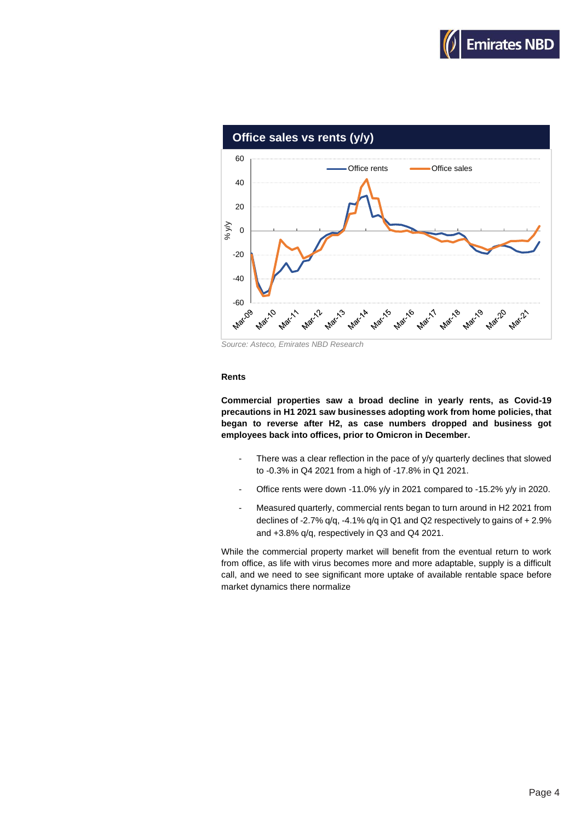



*Source: Asteco, Emirates NBD Research*

#### **Rents**

**Commercial properties saw a broad decline in yearly rents, as Covid-19 precautions in H1 2021 saw businesses adopting work from home policies, that began to reverse after H2, as case numbers dropped and business got employees back into offices, prior to Omicron in December.**

- There was a clear reflection in the pace of y/y quarterly declines that slowed to -0.3% in Q4 2021 from a high of -17.8% in Q1 2021.
- Office rents were down -11.0% y/y in 2021 compared to -15.2% y/y in 2020.
- Measured quarterly, commercial rents began to turn around in H2 2021 from declines of -2.7% q/q, -4.1% q/q in Q1 and Q2 respectively to gains of + 2.9% and +3.8% q/q, respectively in Q3 and Q4 2021.

While the commercial property market will benefit from the eventual return to work from office, as life with virus becomes more and more adaptable, supply is a difficult call, and we need to see significant more uptake of available rentable space before market dynamics there normalize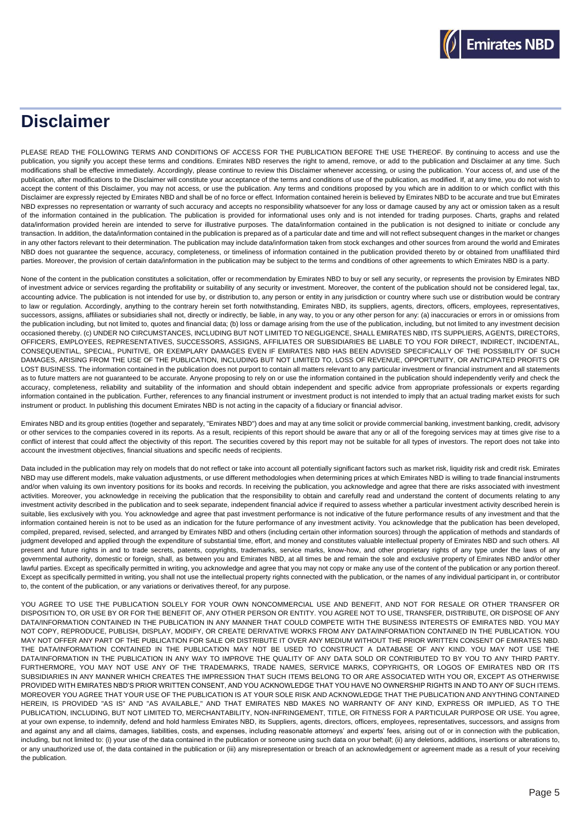# **Disclaimer**

PLEASE READ THE FOLLOWING TERMS AND CONDITIONS OF ACCESS FOR THE PUBLICATION BEFORE THE USE THEREOF. By continuing to access and use the publication, you signify you accept these terms and conditions. Emirates NBD reserves the right to amend, remove, or add to the publication and Disclaimer at any time. Such modifications shall be effective immediately. Accordingly, please continue to review this Disclaimer whenever accessing, or using the publication. Your access of, and use of the publication, after modifications to the Disclaimer will constitute your acceptance of the terms and conditions of use of the publication, as modified. If, at any time, you do not wish to accept the content of this Disclaimer, you may not access, or use the publication. Any terms and conditions proposed by you which are in addition to or which conflict with this Disclaimer are expressly rejected by Emirates NBD and shall be of no force or effect. Information contained herein is believed by Emirates NBD to be accurate and true but Emirates NBD expresses no representation or warranty of such accuracy and accepts no responsibility whatsoever for any loss or damage caused by any act or omission taken as a result of the information contained in the publication. The publication is provided for informational uses only and is not intended for trading purposes. Charts, graphs and related data/information provided herein are intended to serve for illustrative purposes. The data/information contained in the publication is not designed to initiate or conclude any transaction. In addition, the data/information contained in the publication is prepared as of a particular date and time and will not reflect subsequent changes in the market or changes in any other factors relevant to their determination. The publication may include data/information taken from stock exchanges and other sources from around the world and Emirates NBD does not guarantee the sequence, accuracy, completeness, or timeliness of information contained in the publication provided thereto by or obtained from unaffiliated third parties. Moreover, the provision of certain data/information in the publication may be subject to the terms and conditions of other agreements to which Emirates NBD is a party.

None of the content in the publication constitutes a solicitation, offer or recommendation by Emirates NBD to buy or sell any security, or represents the provision by Emirates NBD of investment advice or services regarding the profitability or suitability of any security or investment. Moreover, the content of the publication should not be considered legal, tax, accounting advice. The publication is not intended for use by, or distribution to, any person or entity in any jurisdiction or country where such use or distribution would be contrary to law or regulation. Accordingly, anything to the contrary herein set forth notwithstanding, Emirates NBD, its suppliers, agents, directors, officers, employees, representatives, successors, assigns, affiliates or subsidiaries shall not, directly or indirectly, be liable, in any way, to you or any other person for any: (a) inaccuracies or errors in or omissions from the publication including, but not limited to, quotes and financial data; (b) loss or damage arising from the use of the publication, including, but not limited to any investment decision occasioned thereby. (c) UNDER NO CIRCUMSTANCES, INCLUDING BUT NOT LIMITED TO NEGLIGENCE, SHALL EMIRATES NBD, ITS SUPPLIERS, AGENTS, DIRECTORS, OFFICERS, EMPLOYEES, REPRESENTATIVES, SUCCESSORS, ASSIGNS, AFFILIATES OR SUBSIDIARIES BE LIABLE TO YOU FOR DIRECT, INDIRECT, INCIDENTAL, CONSEQUENTIAL, SPECIAL, PUNITIVE, OR EXEMPLARY DAMAGES EVEN IF EMIRATES NBD HAS BEEN ADVISED SPECIFICALLY OF THE POSSIBILITY OF SUCH DAMAGES, ARISING FROM THE USE OF THE PUBLICATION, INCLUDING BUT NOT LIMITED TO, LOSS OF REVENUE, OPPORTUNITY, OR ANTICIPATED PROFITS OR LOST BUSINESS. The information contained in the publication does not purport to contain all matters relevant to any particular investment or financial instrument and all statements as to future matters are not guaranteed to be accurate. Anyone proposing to rely on or use the information contained in the publication should independently verify and check the accuracy, completeness, reliability and suitability of the information and should obtain independent and specific advice from appropriate professionals or experts regarding information contained in the publication. Further, references to any financial instrument or investment product is not intended to imply that an actual trading market exists for such instrument or product. In publishing this document Emirates NBD is not acting in the capacity of a fiduciary or financial advisor.

Emirates NBD and its group entities (together and separately, "Emirates NBD") does and may at any time solicit or provide commercial banking, investment banking, credit, advisory or other services to the companies covered in its reports. As a result, recipients of this report should be aware that any or all of the foregoing services may at times give rise to a conflict of interest that could affect the objectivity of this report. The securities covered by this report may not be suitable for all types of investors. The report does not take into account the investment objectives, financial situations and specific needs of recipients.

Data included in the publication may rely on models that do not reflect or take into account all potentially significant factors such as market risk, liquidity risk and credit risk. Emirates NBD may use different models, make valuation adjustments, or use different methodologies when determining prices at which Emirates NBD is willing to trade financial instruments and/or when valuing its own inventory positions for its books and records. In receiving the publication, you acknowledge and agree that there are risks associated with investment activities. Moreover, you acknowledge in receiving the publication that the responsibility to obtain and carefully read and understand the content of documents relating to any investment activity described in the publication and to seek separate, independent financial advice if required to assess whether a particular investment activity described herein is suitable, lies exclusively with you. You acknowledge and agree that past investment performance is not indicative of the future performance results of any investment and that the information contained herein is not to be used as an indication for the future performance of any investment activity. You acknowledge that the publication has been developed, compiled, prepared, revised, selected, and arranged by Emirates NBD and others (including certain other information sources) through the application of methods and standards of judgment developed and applied through the expenditure of substantial time, effort, and money and constitutes valuable intellectual property of Emirates NBD and such others. All present and future rights in and to trade secrets, patents, copyrights, trademarks, service marks, know-how, and other proprietary rights of any type under the laws of any governmental authority, domestic or foreign, shall, as between you and Emirates NBD, at all times be and remain the sole and exclusive property of Emirates NBD and/or other lawful parties. Except as specifically permitted in writing, you acknowledge and agree that you may not copy or make any use of the content of the publication or any portion thereof. Except as specifically permitted in writing, you shall not use the intellectual property rights connected with the publication, or the names of any individual participant in, or contributor to, the content of the publication, or any variations or derivatives thereof, for any purpose.

YOU AGREE TO USE THE PUBLICATION SOLELY FOR YOUR OWN NONCOMMERCIAL USE AND BENEFIT, AND NOT FOR RESALE OR OTHER TRANSFER OR DISPOSITION TO, OR USE BY OR FOR THE BENEFIT OF, ANY OTHER PERSON OR ENTITY. YOU AGREE NOT TO USE, TRANSFER, DISTRIBUTE, OR DISPOSE OF ANY DATA/INFORMATION CONTAINED IN THE PUBLICATION IN ANY MANNER THAT COULD COMPETE WITH THE BUSINESS INTERESTS OF EMIRATES NBD. YOU MAY NOT COPY, REPRODUCE, PUBLISH, DISPLAY, MODIFY, OR CREATE DERIVATIVE WORKS FROM ANY DATA/INFORMATION CONTAINED IN THE PUBLICATION. YOU MAY NOT OFFER ANY PART OF THE PUBLICATION FOR SALE OR DISTRIBUTE IT OVER ANY MEDIUM WITHOUT THE PRIOR WRITTEN CONSENT OF EMIRATES NBD. THE DATA/INFORMATION CONTAINED IN THE PUBLICATION MAY NOT BE USED TO CONSTRUCT A DATABASE OF ANY KIND. YOU MAY NOT USE THE DATA/INFORMATION IN THE PUBLICATION IN ANY WAY TO IMPROVE THE QUALITY OF ANY DATA SOLD OR CONTRIBUTED TO BY YOU TO ANY THIRD PARTY. FURTHERMORE, YOU MAY NOT USE ANY OF THE TRADEMARKS, TRADE NAMES, SERVICE MARKS, COPYRIGHTS, OR LOGOS OF EMIRATES NBD OR ITS SUBSIDIARIES IN ANY MANNER WHICH CREATES THE IMPRESSION THAT SUCH ITEMS BELONG TO OR ARE ASSOCIATED WITH YOU OR, EXCEPT AS OTHERWISE PROVIDED WITH EMIRATES NBD'S PRIOR WRITTEN CONSENT, AND YOU ACKNOWLEDGE THAT YOU HAVE NO OWNERSHIP RIGHTS IN AND TO ANY OF SUCH ITEMS. MOREOVER YOU AGREE THAT YOUR USE OF THE PUBLICATION IS AT YOUR SOLE RISK AND ACKNOWLEDGE THAT THE PUBLICATION AND ANYTHING CONTAINED HEREIN, IS PROVIDED "AS IS" AND "AS AVAILABLE," AND THAT EMIRATES NBD MAKES NO WARRANTY OF ANY KIND, EXPRESS OR IMPLIED, AS TO THE PUBLICATION, INCLUDING, BUT NOT LIMITED TO, MERCHANTABILITY, NON-INFRINGEMENT, TITLE, OR FITNESS FOR A PARTICULAR PURPOSE OR USE. You agree, at your own expense, to indemnify, defend and hold harmless Emirates NBD, its Suppliers, agents, directors, officers, employees, representatives, successors, and assigns from and against any and all claims, damages, liabilities, costs, and expenses, including reasonable attorneys' and experts' fees, arising out of or in connection with the publication, including, but not limited to: (i) your use of the data contained in the publication or someone using such data on your behalf; (ii) any deletions, additions, insertions or alterations to, or any unauthorized use of, the data contained in the publication or (iii) any misrepresentation or breach of an acknowledgement or agreement made as a result of your receiving the publication.